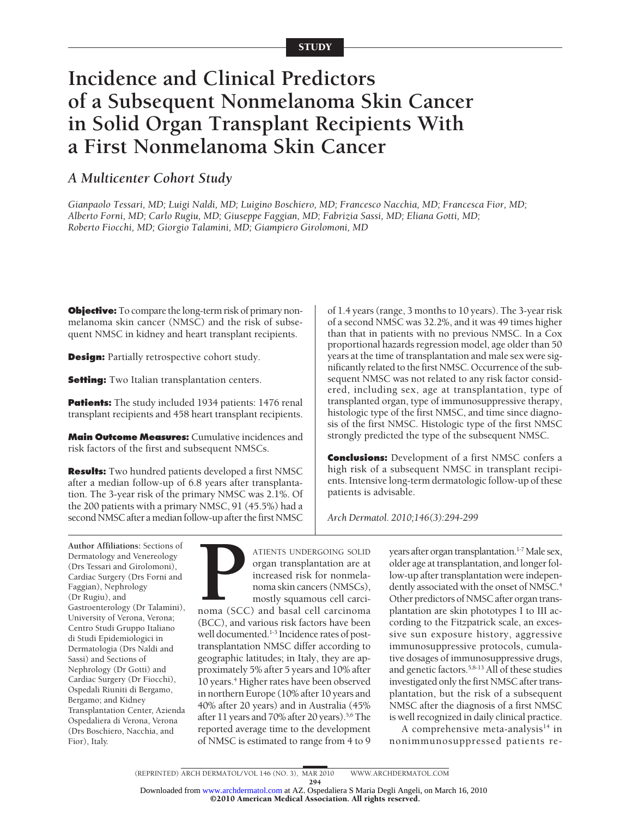# **Incidence and Clinical Predictors of a Subsequent Nonmelanoma Skin Cancer in Solid Organ Transplant Recipients With a First Nonmelanoma Skin Cancer**

# *A Multicenter Cohort Study*

*Gianpaolo Tessari, MD; Luigi Naldi, MD; Luigino Boschiero, MD; Francesco Nacchia, MD; Francesca Fior, MD; Alberto Forni, MD; Carlo Rugiu, MD; Giuseppe Faggian, MD; Fabrizia Sassi, MD; Eliana Gotti, MD; Roberto Fiocchi, MD; Giorgio Talamini, MD; Giampiero Girolomoni, MD*

**Objective:** To compare the long-term risk of primary nonmelanoma skin cancer (NMSC) and the risk of subsequent NMSC in kidney and heart transplant recipients.

**Design:** Partially retrospective cohort study.

**Setting:** Two Italian transplantation centers.

**Patients:** The study included 1934 patients: 1476 renal transplant recipients and 458 heart transplant recipients.

**Main Outcome Measures:** Cumulative incidences and risk factors of the first and subsequent NMSCs.

**Results:** Two hundred patients developed a first NMSC after a median follow-up of 6.8 years after transplantation. The 3-year risk of the primary NMSC was 2.1%. Of the 200 patients with a primary NMSC, 91 (45.5%) had a second NMSC after a median follow-up after the first NMSC

of 1.4 years (range, 3 months to 10 years). The 3-year risk of a second NMSC was 32.2%, and it was 49 times higher than that in patients with no previous NMSC. In a Cox proportional hazards regression model, age older than 50 years at the time of transplantation and male sex were significantly related to the first NMSC. Occurrence of the subsequent NMSC was not related to any risk factor considered, including sex, age at transplantation, type of transplanted organ, type of immunosuppressive therapy, histologic type of the first NMSC, and time since diagnosis of the first NMSC. Histologic type of the first NMSC strongly predicted the type of the subsequent NMSC.

**Conclusions:** Development of a first NMSC confers a high risk of a subsequent NMSC in transplant recipients. Intensive long-term dermatologic follow-up of these patients is advisable.

*Arch Dermatol. 2010;146(3):294-299*

**Author Affiliations:** Sections of Dermatology and Venereology (Drs Tessari and Girolomoni), Cardiac Surgery (Drs Forni and Faggian), Nephrology (Dr Rugiu), and Gastroenterology (Dr Talamini), University of Verona, Verona; Centro Studi Gruppo Italiano di Studi Epidemiologici in Dermatologia (Drs Naldi and Sassi) and Sections of Nephrology (Dr Gotti) and Cardiac Surgery (Dr Fiocchi), Ospedali Riuniti di Bergamo, Bergamo; and Kidney Transplantation Center, Azienda Ospedaliera di Verona, Verona (Drs Boschiero, Nacchia, and Fior), Italy.

ATIENTS UNDERGOING SOLID<br>
organ transplantation are at<br>
increased risk for nonmela-<br>
noma skin cancers (NMSCs),<br>
mostly squamous cell carcinoma<br>
(SCC) and basal cell carcinoma<br>
(SCC) and various risk foctors have been organ transplantation are at increased risk for nonmelanoma skin cancers (NMSCs), mostly squamous cell carci-(BCC), and various risk factors have been well documented.<sup>1-3</sup> Incidence rates of posttransplantation NMSC differ according to geographic latitudes; in Italy, they are approximately 5% after 5 years and 10% after 10 years.<sup>4</sup> Higher rates have been observed in northern Europe (10% after 10 years and 40% after 20 years) and in Australia (45% after 11 years and 70% after 20 years).<sup>5,6</sup> The reported average time to the development of NMSC is estimated to range from 4 to 9

years after organ transplantation.<sup>1-7</sup> Male sex, older age at transplantation, and longer follow-up after transplantation were independently associated with the onset of NMSC.<sup>4</sup> Other predictors of NMSC after organ transplantation are skin phototypes I to III according to the Fitzpatrick scale, an excessive sun exposure history, aggressive immunosuppressive protocols, cumulative dosages of immunosuppressive drugs, and genetic factors.5,8-13 All of these studies investigated only the first NMSC after transplantation, but the risk of a subsequent NMSC after the diagnosis of a first NMSC is well recognized in daily clinical practice.

A comprehensive meta-analysis $^{14}$  in nonimmunosuppressed patients re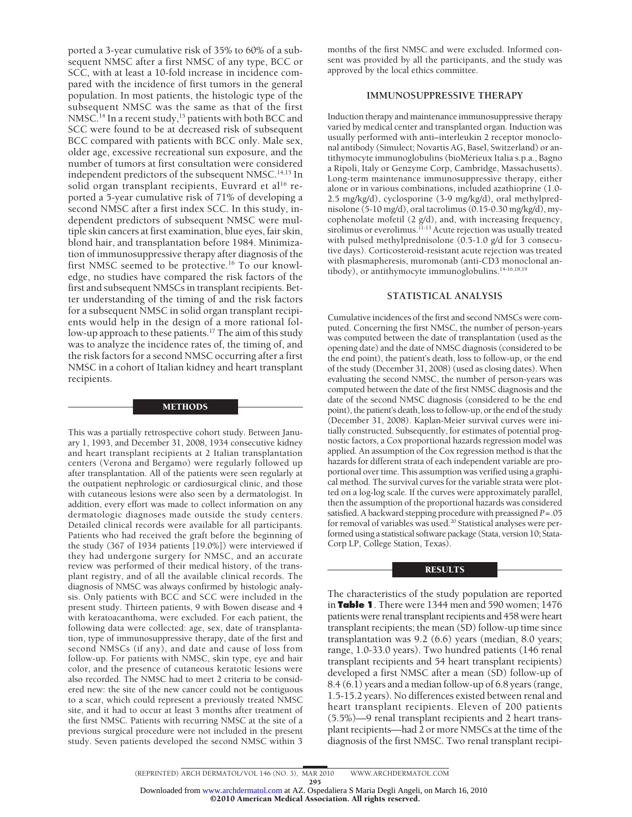ported a 3-year cumulative risk of 35% to 60% of a subsequent NMSC after a first NMSC of any type, BCC or SCC, with at least a 10-fold increase in incidence compared with the incidence of first tumors in the general population. In most patients, the histologic type of the subsequent NMSC was the same as that of the first NMSC.<sup>14</sup> In a recent study,<sup>15</sup> patients with both BCC and SCC were found to be at decreased risk of subsequent BCC compared with patients with BCC only. Male sex, older age, excessive recreational sun exposure, and the number of tumors at first consultation were considered independent predictors of the subsequent NMSC.<sup>14,15</sup> In solid organ transplant recipients, Euvrard et al<sup>16</sup> reported a 5-year cumulative risk of 71% of developing a second NMSC after a first index SCC. In this study, independent predictors of subsequent NMSC were multiple skin cancers at first examination, blue eyes, fair skin, blond hair, and transplantation before 1984. Minimization of immunosuppressive therapy after diagnosis of the first NMSC seemed to be protective.<sup>16</sup> To our knowledge, no studies have compared the risk factors of the first and subsequent NMSCs in transplant recipients. Better understanding of the timing of and the risk factors for a subsequent NMSC in solid organ transplant recipients would help in the design of a more rational follow-up approach to these patients.<sup>17</sup> The aim of this study was to analyze the incidence rates of, the timing of, and the risk factors for a second NMSC occurring after a first NMSC in a cohort of Italian kidney and heart transplant recipients.

#### METHODS

This was a partially retrospective cohort study. Between January 1, 1993, and December 31, 2008, 1934 consecutive kidney and heart transplant recipients at 2 Italian transplantation centers (Verona and Bergamo) were regularly followed up after transplantation. All of the patients were seen regularly at the outpatient nephrologic or cardiosurgical clinic, and those with cutaneous lesions were also seen by a dermatologist. In addition, every effort was made to collect information on any dermatologic diagnoses made outside the study centers. Detailed clinical records were available for all participants. Patients who had received the graft before the beginning of the study (367 of 1934 patients [19.0%]) were interviewed if they had undergone surgery for NMSC, and an accurate review was performed of their medical history, of the transplant registry, and of all the available clinical records. The diagnosis of NMSC was always confirmed by histologic analysis. Only patients with BCC and SCC were included in the present study. Thirteen patients, 9 with Bowen disease and 4 with keratoacanthoma, were excluded. For each patient, the following data were collected: age, sex, date of transplantation, type of immunosuppressive therapy, date of the first and second NMSCs (if any), and date and cause of loss from follow-up. For patients with NMSC, skin type, eye and hair color, and the presence of cutaneous keratotic lesions were also recorded. The NMSC had to meet 2 criteria to be considered new: the site of the new cancer could not be contiguous to a scar, which could represent a previously treated NMSC site, and it had to occur at least 3 months after treatment of the first NMSC. Patients with recurring NMSC at the site of a previous surgical procedure were not included in the present study. Seven patients developed the second NMSC within 3

months of the first NMSC and were excluded. Informed consent was provided by all the participants, and the study was approved by the local ethics committee.

# **IMMUNOSUPPRESSIVE THERAPY**

Induction therapy and maintenance immunosuppressive therapy varied by medical center and transplanted organ. Induction was usually performed with anti–interleukin 2 receptor monoclonal antibody (Simulect; Novartis AG, Basel, Switzerland) or antithymocyte immunoglobulins (bioMérieux Italia s.p.a., Bagno a Ripoli, Italy or Genzyme Corp, Cambridge, Massachusetts). Long-term maintenance immunosuppressive therapy, either alone or in various combinations, included azathioprine (1.0- 2.5 mg/kg/d), cyclosporine (3-9 mg/kg/d), oral methylprednisolone (5-10 mg/d), oral tacrolimus (0.15-0.30 mg/kg/d), mycophenolate mofetil (2 g/d), and, with increasing frequency, sirolimus or everolimus.<sup>11-13</sup> Acute rejection was usually treated with pulsed methylprednisolone (0.5-1.0 g/d for 3 consecutive days). Corticosteroid-resistant acute rejection was treated with plasmapheresis, muromonab (anti-CD3 monoclonal antibody), or antithymocyte immunoglobulins.14-16,18,19

## **STATISTICAL ANALYSIS**

Cumulative incidences of the first and second NMSCs were computed. Concerning the first NMSC, the number of person-years was computed between the date of transplantation (used as the opening date) and the date of NMSC diagnosis (considered to be the end point), the patient's death, loss to follow-up, or the end of the study (December 31, 2008) (used as closing dates). When evaluating the second NMSC, the number of person-years was computed between the date of the first NMSC diagnosis and the date of the second NMSC diagnosis (considered to be the end point), the patient's death, loss to follow-up, or the end of the study (December 31, 2008). Kaplan-Meier survival curves were initially constructed. Subsequently, for estimates of potential prognostic factors, a Cox proportional hazards regression model was applied. An assumption of the Cox regression method is that the hazards for different strata of each independent variable are proportional over time. This assumption was verified using a graphical method. The survival curves for the variable strata were plotted on a log-log scale. If the curves were approximately parallel, then the assumption of the proportional hazards was considered satisfied. A backward stepping procedure with preassigned *P*=.05 for removal of variables was used.<sup>20</sup> Statistical analyses were performed using a statistical software package (Stata, version 10; Stata-Corp LP, College Station, Texas).

#### RESULTS

The characteristics of the study population are reported in **Table 1**. There were 1344 men and 590 women; 1476 patients were renal transplant recipients and 458 were heart transplant recipients; the mean (SD) follow-up time since transplantation was 9.2 (6.6) years (median, 8.0 years; range, 1.0-33.0 years). Two hundred patients (146 renal transplant recipients and 54 heart transplant recipients) developed a first NMSC after a mean (SD) follow-up of 8.4 (6.1) years and a median follow-up of 6.8 years (range, 1.5-15.2 years). No differences existed between renal and heart transplant recipients. Eleven of 200 patients (5.5%)—9 renal transplant recipients and 2 heart transplant recipients—had 2 or more NMSCs at the time of the diagnosis of the first NMSC. Two renal transplant recipi-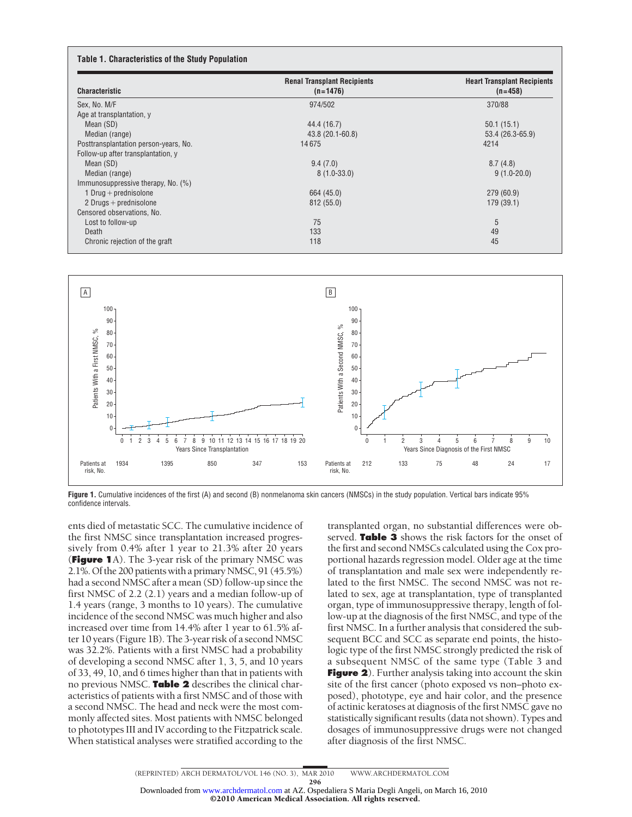| <b>Characteristic</b>                 | <b>Renal Transplant Recipients</b><br>$(n=1476)$ | <b>Heart Transplant Recipients</b><br>$(n=458)$ |  |  |
|---------------------------------------|--------------------------------------------------|-------------------------------------------------|--|--|
| Sex, No. M/F                          | 974/502                                          | 370/88                                          |  |  |
| Age at transplantation, y             |                                                  |                                                 |  |  |
| Mean (SD)                             | 44.4 (16.7)                                      | 50.1(15.1)                                      |  |  |
| Median (range)                        | 43.8 (20.1-60.8)                                 | 53.4 (26.3-65.9)                                |  |  |
| Posttransplantation person-years, No. | 14675                                            | 4214                                            |  |  |
| Follow-up after transplantation, y    |                                                  |                                                 |  |  |
| Mean (SD)                             | 9.4(7.0)                                         | 8.7(4.8)                                        |  |  |
| Median (range)                        | $8(1.0-33.0)$                                    | $9(1.0-20.0)$                                   |  |  |
| Immunosuppressive therapy, No. (%)    |                                                  |                                                 |  |  |
| 1 Drug $+$ prednisolone               | 664 (45.0)                                       | 279 (60.9)                                      |  |  |
| 2 Drugs $+$ prednisolone              | 812(55.0)                                        | 179 (39.1)                                      |  |  |
| Censored observations, No.            |                                                  |                                                 |  |  |
| Lost to follow-up                     | 75                                               | 5                                               |  |  |
| Death                                 | 133                                              | 49                                              |  |  |
| Chronic rejection of the graft        | 118                                              | 45                                              |  |  |



**Figure 1.** Cumulative incidences of the first (A) and second (B) nonmelanoma skin cancers (NMSCs) in the study population. Vertical bars indicate 95% confidence intervals.

ents died of metastatic SCC. The cumulative incidence of the first NMSC since transplantation increased progressively from 0.4% after 1 year to 21.3% after 20 years (**Figure 1**A). The 3-year risk of the primary NMSC was 2.1%. Of the 200 patients with a primary NMSC, 91 (45.5%) had a second NMSC after a mean (SD) follow-up since the first NMSC of 2.2 (2.1) years and a median follow-up of 1.4 years (range, 3 months to 10 years). The cumulative incidence of the second NMSC was much higher and also increased over time from 14.4% after 1 year to 61.5% after 10 years (Figure 1B). The 3-year risk of a second NMSC was 32.2%. Patients with a first NMSC had a probability of developing a second NMSC after 1, 3, 5, and 10 years of 33, 49, 10, and 6 times higher than that in patients with no previous NMSC. **Table 2** describes the clinical characteristics of patients with a first NMSC and of those with a second NMSC. The head and neck were the most commonly affected sites. Most patients with NMSC belonged to phototypes III and IV according to the Fitzpatrick scale. When statistical analyses were stratified according to the

transplanted organ, no substantial differences were observed. **Table 3** shows the risk factors for the onset of the first and second NMSCs calculated using the Cox proportional hazards regression model. Older age at the time of transplantation and male sex were independently related to the first NMSC. The second NMSC was not related to sex, age at transplantation, type of transplanted organ, type of immunosuppressive therapy, length of follow-up at the diagnosis of the first NMSC, and type of the first NMSC. In a further analysis that considered the subsequent BCC and SCC as separate end points, the histologic type of the first NMSC strongly predicted the risk of a subsequent NMSC of the same type (Table 3 and **Figure 2**). Further analysis taking into account the skin site of the first cancer (photo exposed vs non–photo exposed), phototype, eye and hair color, and the presence of actinic keratoses at diagnosis of the first NMSC gave no statistically significant results (data not shown). Types and dosages of immunosuppressive drugs were not changed after diagnosis of the first NMSC.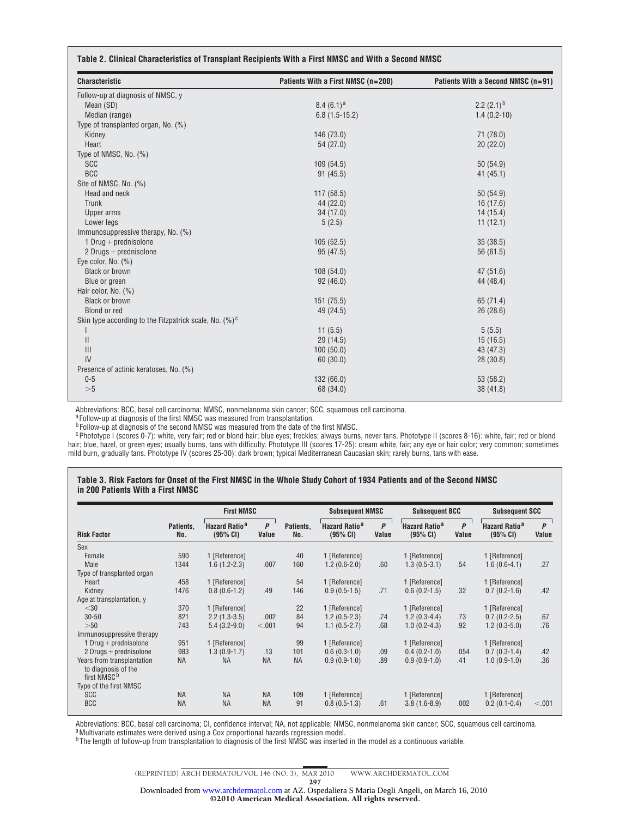| <b>Characteristic</b>                                      | Patients With a First NMSC (n=200) | Patients With a Second NMSC (n=91) |  |  |  |
|------------------------------------------------------------|------------------------------------|------------------------------------|--|--|--|
| Follow-up at diagnosis of NMSC, y                          |                                    |                                    |  |  |  |
| Mean (SD)                                                  | 8.4 $(6.1)^a$                      | 2.2 $(2.1)^b$                      |  |  |  |
| Median (range)                                             | $6.8(1.5-15.2)$                    | $1.4(0.2-10)$                      |  |  |  |
| Type of transplanted organ, No. (%)                        |                                    |                                    |  |  |  |
| Kidney                                                     | 146 (73.0)                         | 71 (78.0)                          |  |  |  |
| Heart                                                      | 54 (27.0)                          | 20(22.0)                           |  |  |  |
| Type of NMSC, No. (%)                                      |                                    |                                    |  |  |  |
| <b>SCC</b>                                                 | 109(54.5)                          | 50 (54.9)                          |  |  |  |
| <b>BCC</b>                                                 | 91(45.5)                           | 41(45.1)                           |  |  |  |
| Site of NMSC, No. (%)                                      |                                    |                                    |  |  |  |
| Head and neck                                              | 117(58.5)                          | 50 (54.9)                          |  |  |  |
| Trunk                                                      | 44 (22.0)                          | 16(17.6)                           |  |  |  |
| Upper arms                                                 | 34 (17.0)                          | 14(15.4)                           |  |  |  |
| Lower legs                                                 | 5(2.5)                             | 11(12.1)                           |  |  |  |
| Immunosuppressive therapy, No. (%)                         |                                    |                                    |  |  |  |
| 1 Drug + prednisolone                                      | 105(52.5)                          | 35(38.5)                           |  |  |  |
| 2 Drugs + prednisolone                                     | 95 (47.5)                          | 56 (61.5)                          |  |  |  |
| Eye color, No. (%)                                         |                                    |                                    |  |  |  |
| <b>Black or brown</b>                                      | 108(54.0)                          | 47(51.6)                           |  |  |  |
| Blue or green                                              | 92(46.0)                           | 44 (48.4)                          |  |  |  |
| Hair color, No. (%)                                        |                                    |                                    |  |  |  |
| <b>Black or brown</b>                                      | 151 (75.5)                         | 65 (71.4)                          |  |  |  |
| Blond or red                                               | 49 (24.5)                          | 26(28.6)                           |  |  |  |
| Skin type according to the Fitzpatrick scale, No. $(\%)^c$ |                                    |                                    |  |  |  |
| I                                                          | 11(5.5)                            | 5(5.5)                             |  |  |  |
| $\mathsf{I}$                                               | 29 (14.5)                          | 15(16.5)                           |  |  |  |
| $\mathbf{III}$                                             | 100(50.0)                          | 43 (47.3)                          |  |  |  |
| IV                                                         | 60(30.0)                           | 28 (30.8)                          |  |  |  |
| Presence of actinic keratoses, No. (%)                     |                                    |                                    |  |  |  |
| $0 - 5$                                                    | 132 (66.0)                         | 53 (58.2)                          |  |  |  |
| >5                                                         | 68 (34.0)                          | 38(41.8)                           |  |  |  |

Abbreviations: BCC, basal cell carcinoma; NMSC, nonmelanoma skin cancer; SCC, squamous cell carcinoma.<br><sup>a</sup>Follow-up at diagnosis of the first NMSC was measured from transplantation.

<sup>b</sup> Follow-up at diagnosis of the second NMSC was measured from the date of the first NMSC.

<sup>c</sup> Phototype I (scores 0-7): white, very fair; red or blond hair; blue eyes; freckles; always burns, never tans. Phototype II (scores 8-16): white, fair; red or blond hair; blue, hazel, or green eyes; usually burns, tans with difficulty. Phototype III (scores 17-25): cream white, fair; any eye or hair color; very common; sometimes mild burn, gradually tans. Phototype IV (scores 25-30): dark brown; typical Mediterranean Caucasian skin; rarely burns, tans with ease.

#### **Table 3. Risk Factors for Onset of the First NMSC in the Whole Study Cohort of 1934 Patients and of the Second NMSC in 200 Patients With a First NMSC**

|                                                   |                  | <b>First NMSC</b>                           |            |                  | <b>Subsequent NMSC</b>                      |                       | <b>Subsequent BCC</b>                       |            | <b>Subsequent SCC</b>                 |            |
|---------------------------------------------------|------------------|---------------------------------------------|------------|------------------|---------------------------------------------|-----------------------|---------------------------------------------|------------|---------------------------------------|------------|
| <b>Risk Factor</b>                                | Patients,<br>No. | <b>Hazard Ratio<sup>a</sup></b><br>(95% CI) | P<br>Value | Patients,<br>No. | <b>Hazard Ratio<sup>a</sup></b><br>(95% CI) | $\mathsf{P}$<br>Value | <b>Hazard Ratio<sup>a</sup></b><br>(95% CI) | P<br>Value | Hazard Ratio <sup>a</sup><br>(95% CI) | P<br>Value |
| Sex                                               |                  |                                             |            |                  |                                             |                       |                                             |            |                                       |            |
| Female                                            | 590              | 1 [Reference]                               |            | 40               | 1 [Reference]                               |                       | 1 [Reference]                               |            | 1 [Reference]                         |            |
| Male                                              | 1344             | $1.6(1.2-2.3)$                              | .007       | 160              | $1.2(0.6-2.0)$                              | .60                   | $1.3(0.5-3.1)$                              | .54        | $1.6(0.6-4.1)$                        | .27        |
| Type of transplanted organ                        |                  |                                             |            |                  |                                             |                       |                                             |            |                                       |            |
| Heart                                             | 458              | 1 [Reference]                               |            | 54               | 1 [Reference]                               |                       | 1 [Reference]                               |            | 1 [Reference]                         |            |
| Kidney                                            | 1476             | $0.8(0.6-1.2)$                              | .49        | 146              | $0.9(0.5-1.5)$                              | .71                   | $0.6(0.2-1.5)$                              | .32        | $0.7(0.2-1.6)$                        | .42        |
| Age at transplantation, y                         |                  |                                             |            |                  |                                             |                       |                                             |            |                                       |            |
| $<$ 30                                            | 370              | 1 [Reference]                               |            | 22               | 1 [Reference]                               |                       | 1 [Reference]                               |            | 1 [Reference]                         |            |
| $30 - 50$                                         | 821              | $2.2(1.3-3.5)$                              | .002       | 84               | $1.2(0.5-2.3)$                              | .74                   | $1.2(0.3-4.4)$                              | .73        | $0.7(0.2-2.5)$                        | .67        |
| >50                                               | 743              | $5.4(3.2-9.0)$                              | < .001     | 94               | $1.1(0.5-2.7)$                              | .68                   | $1.0(0.2-4.3)$                              | .92        | $1.2(0.3-5.0)$                        | .76        |
| Immunosuppressive therapy                         |                  |                                             |            |                  |                                             |                       |                                             |            |                                       |            |
| 1 Drug + prednisolone                             | 951              | 1 [Reference]                               |            | 99               | 1 [Reference]                               |                       | 1 [Reference]                               |            | 1 [Reference]                         |            |
| 2 Drugs $+$ prednisolone                          | 983              | $1.3(0.9-1.7)$                              | .13        | 101              | $0.6(0.3-1.0)$                              | .09                   | $0.4(0.2-1.0)$                              | .054       | $0.7(0.3-1.4)$                        | .42        |
| Years from transplantation<br>to diagnosis of the | <b>NA</b>        | <b>NA</b>                                   | <b>NA</b>  | <b>NA</b>        | $0.9(0.9-1.0)$                              | .89                   | $0.9(0.9-1.0)$                              | .41        | $1.0(0.9-1.0)$                        | .36        |
| first NMSC <sup>b</sup>                           |                  |                                             |            |                  |                                             |                       |                                             |            |                                       |            |
| Type of the first NMSC                            |                  |                                             |            |                  |                                             |                       |                                             |            |                                       |            |
| <b>SCC</b>                                        | <b>NA</b>        | <b>NA</b>                                   | <b>NA</b>  | 109              | 1 [Reference]                               |                       | 1 [Reference]                               |            | 1 [Reference]                         |            |
| <b>BCC</b>                                        | <b>NA</b>        | <b>NA</b>                                   | <b>NA</b>  | 91               | $0.8(0.5-1.3)$                              | .61                   | $3.8(1.6-8.9)$                              | .002       | $0.2(0.1-0.4)$                        | < .001     |

Abbreviations: BCC, basal cell carcinoma; CI, confidence interval; NA, not applicable; NMSC, nonmelanoma skin cancer; SCC, squamous cell carcinoma.<br><sup>a</sup>Multivariate estimates were derived using a Cox proportional hazards re

<sup>b</sup> The length of follow-up from transplantation to diagnosis of the first NMSC was inserted in the model as a continuous variable.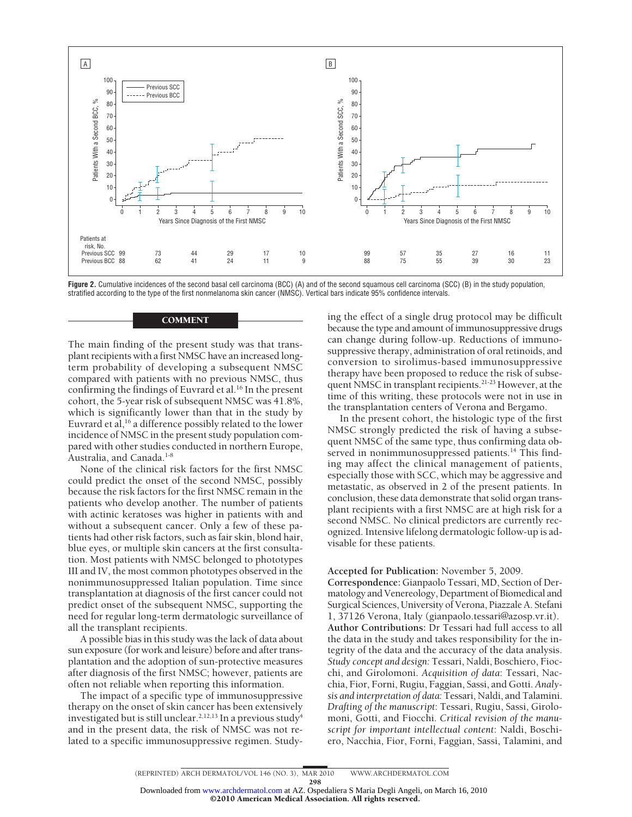

**Figure 2.** Cumulative incidences of the second basal cell carcinoma (BCC) (A) and of the second squamous cell carcinoma (SCC) (B) in the study population, stratified according to the type of the first nonmelanoma skin cancer (NMSC). Vertical bars indicate 95% confidence intervals.

The main finding of the present study was that transplant recipients with a first NMSC have an increased longterm probability of developing a subsequent NMSC compared with patients with no previous NMSC, thus confirming the findings of Euvrard et al.<sup>16</sup> In the present cohort, the 5-year risk of subsequent NMSC was 41.8%, which is significantly lower than that in the study by Euvrard et al,<sup>16</sup> a difference possibly related to the lower incidence of NMSC in the present study population compared with other studies conducted in northern Europe,

**COMMENT** 

Australia, and Canada.<sup>1-8</sup> None of the clinical risk factors for the first NMSC could predict the onset of the second NMSC, possibly because the risk factors for the first NMSC remain in the patients who develop another. The number of patients with actinic keratoses was higher in patients with and without a subsequent cancer. Only a few of these patients had other risk factors, such as fair skin, blond hair, blue eyes, or multiple skin cancers at the first consultation. Most patients with NMSC belonged to phototypes III and IV, the most common phototypes observed in the nonimmunosuppressed Italian population. Time since transplantation at diagnosis of the first cancer could not predict onset of the subsequent NMSC, supporting the need for regular long-term dermatologic surveillance of all the transplant recipients.

A possible bias in this study was the lack of data about sun exposure (for work and leisure) before and after transplantation and the adoption of sun-protective measures after diagnosis of the first NMSC; however, patients are often not reliable when reporting this information.

The impact of a specific type of immunosuppressive therapy on the onset of skin cancer has been extensively investigated but is still unclear.<sup>2,12,13</sup> In a previous study<sup>4</sup> and in the present data, the risk of NMSC was not related to a specific immunosuppressive regimen. Study-

ing the effect of a single drug protocol may be difficult because the type and amount of immunosuppressive drugs can change during follow-up. Reductions of immunosuppressive therapy, administration of oral retinoids, and conversion to sirolimus-based immunosuppressive therapy have been proposed to reduce the risk of subsequent NMSC in transplant recipients.21-23 However, at the time of this writing, these protocols were not in use in the transplantation centers of Verona and Bergamo.

In the present cohort, the histologic type of the first NMSC strongly predicted the risk of having a subsequent NMSC of the same type, thus confirming data observed in nonimmunosuppressed patients.<sup>14</sup> This finding may affect the clinical management of patients, especially those with SCC, which may be aggressive and metastatic, as observed in 2 of the present patients. In conclusion, these data demonstrate that solid organ transplant recipients with a first NMSC are at high risk for a second NMSC. No clinical predictors are currently recognized. Intensive lifelong dermatologic follow-up is advisable for these patients.

## **Accepted for Publication:** November 5, 2009.

**Correspondence:** Gianpaolo Tessari, MD, Section of Dermatology and Venereology, Department of Biomedical and Surgical Sciences, University of Verona, Piazzale A. Stefani 1, 37126 Verona, Italy (gianpaolo.tessari@azosp.vr.it). **Author Contributions:** Dr Tessari had full access to all the data in the study and takes responsibility for the integrity of the data and the accuracy of the data analysis. *Study concept and design:* Tessari, Naldi, Boschiero, Fiocchi, and Girolomoni. *Acquisition of data*: Tessari, Nacchia, Fior, Forni, Rugiu, Faggian, Sassi, and Gotti. *Analysis and interpretation of data:* Tessari, Naldi, and Talamini. *Drafting of the manuscript*: Tessari, Rugiu, Sassi, Girolomoni, Gotti, and Fiocchi. *Critical revision of the manuscript for important intellectual content*: Naldi, Boschiero, Nacchia, Fior, Forni, Faggian, Sassi, Talamini, and